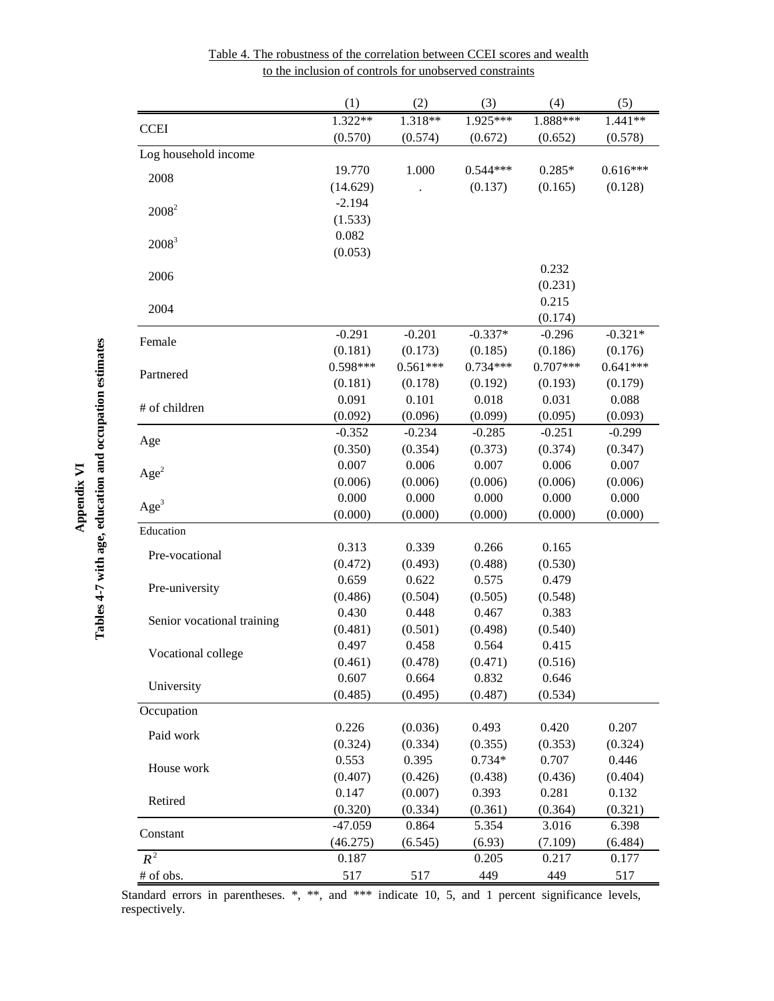|                            | (1)              | (2)              | (3)              | (4)                   | (5)              |
|----------------------------|------------------|------------------|------------------|-----------------------|------------------|
| <b>CCEI</b>                | $1.322**$        | 1.318**          | $1.925***$       | $1.888***$            | $1.441**$        |
|                            | (0.570)          | (0.574)          | (0.672)          | (0.652)               | (0.578)          |
| Log household income       |                  |                  |                  |                       |                  |
| 2008                       | 19.770           | 1.000            | $0.544***$       | $0.285*$              | $0.616***$       |
|                            | (14.629)         |                  | (0.137)          | (0.165)               | (0.128)          |
| $2008^2$                   | $-2.194$         |                  |                  |                       |                  |
|                            | (1.533)          |                  |                  |                       |                  |
| $2008^3$                   | 0.082            |                  |                  |                       |                  |
|                            | (0.053)          |                  |                  |                       |                  |
| 2006                       |                  |                  |                  | 0.232                 |                  |
|                            |                  |                  |                  | (0.231)               |                  |
| 2004                       |                  |                  |                  | 0.215                 |                  |
|                            |                  |                  |                  | (0.174)               |                  |
| Female                     | $-0.291$         | $-0.201$         | $-0.337*$        | $-0.296$              | $-0.321*$        |
|                            | (0.181)          | (0.173)          | (0.185)          | (0.186)<br>$0.707***$ | (0.176)          |
| Partnered                  | $0.598***$       | $0.561***$       | $0.734***$       |                       | $0.641***$       |
|                            | (0.181)<br>0.091 | (0.178)<br>0.101 | (0.192)<br>0.018 | (0.193)<br>0.031      | (0.179)          |
| # of children              |                  |                  |                  |                       | 0.088            |
|                            | (0.092)          | (0.096)          | (0.099)          | (0.095)               | (0.093)          |
| Age                        | $-0.352$         | $-0.234$         | $-0.285$         | $-0.251$<br>(0.374)   | $-0.299$         |
|                            | (0.350)<br>0.007 | (0.354)<br>0.006 | (0.373)<br>0.007 |                       | (0.347)          |
| Age <sup>2</sup>           | (0.006)          | (0.006)          | (0.006)          | 0.006<br>(0.006)      | 0.007<br>(0.006) |
|                            | 0.000            | 0.000            | 0.000            | 0.000                 | 0.000            |
| Age <sup>3</sup>           | (0.000)          | (0.000)          | (0.000)          | (0.000)               | (0.000)          |
| Education                  |                  |                  |                  |                       |                  |
|                            | 0.313            | 0.339            | 0.266            | 0.165                 |                  |
| Pre-vocational             | (0.472)          | (0.493)          | (0.488)          | (0.530)               |                  |
|                            | 0.659            | 0.622            | 0.575            | 0.479                 |                  |
| Pre-university             | (0.486)          | (0.504)          | (0.505)          | (0.548)               |                  |
|                            | 0.430            | 0.448            | 0.467            | 0.383                 |                  |
| Senior vocational training | (0.481)          | (0.501)          | (0.498)          | (0.540)               |                  |
|                            | 0.497            | 0.458            | 0.564            | 0.415                 |                  |
| Vocational college         | (0.461)          | (0.478)          | (0.471)          | (0.516)               |                  |
|                            | 0.607            | 0.664            | 0.832            | 0.646                 |                  |
| University                 | (0.485)          | (0.495)          | (0.487)          | (0.534)               |                  |
| Occupation                 |                  |                  |                  |                       |                  |
|                            | 0.226            | (0.036)          | 0.493            | 0.420                 | 0.207            |
| Paid work                  | (0.324)          | (0.334)          | (0.355)          | (0.353)               | (0.324)          |
|                            | 0.553            | 0.395            | $0.734*$         | 0.707                 | 0.446            |
| House work                 | (0.407)          | (0.426)          | (0.438)          | (0.436)               | (0.404)          |
|                            | 0.147            | (0.007)          | 0.393            | 0.281                 | 0.132            |
| Retired                    | (0.320)          | (0.334)          | (0.361)          | (0.364)               | (0.321)          |
|                            | $-47.059$        | 0.864            | 5.354            | 3.016                 | 6.398            |
| Constant                   | (46.275)         | (6.545)          | (6.93)           | (7.109)               | (6.484)          |
| $R^2$                      | 0.187            |                  | 0.205            | 0.217                 | 0.177            |
| # of obs.                  | 517              | 517              | 449              | 449                   | 517              |

Table 4. The robustness of the correlation between CCEI scores and wealth to the inclusion of controls for unobserved constraints

Standard errors in parentheses. \*, \*\*, and \*\*\* indicate 10, 5, and 1 percent significance levels, respectively.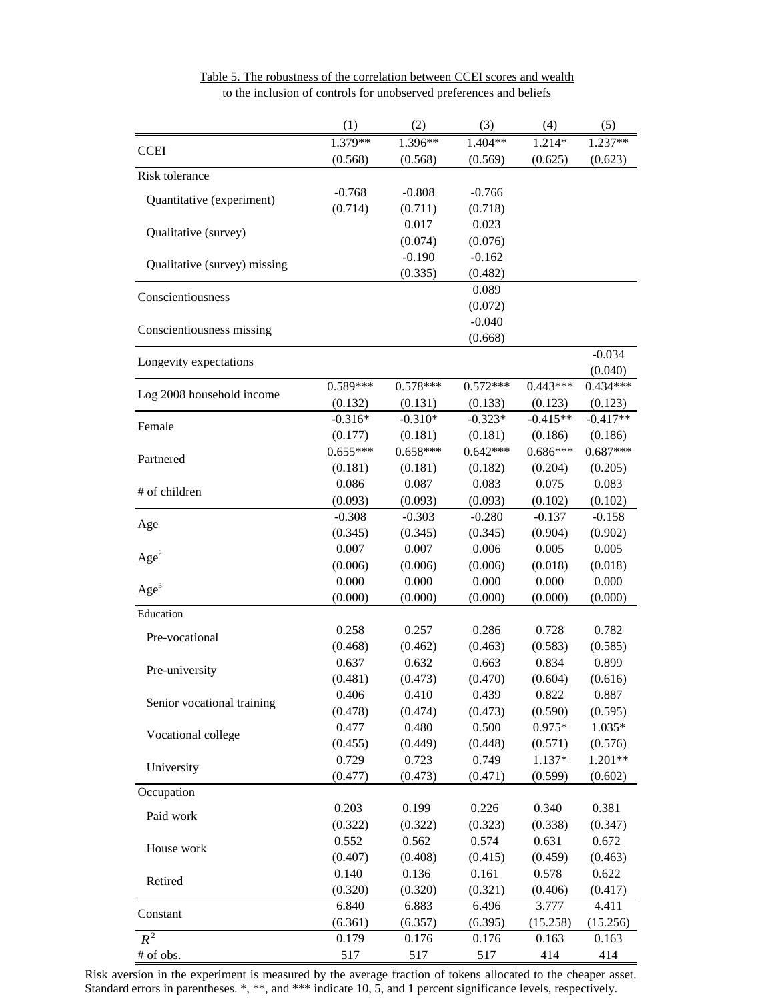|                              | (1)                 | (2)        | (3)                 | (4)        | (5)        |
|------------------------------|---------------------|------------|---------------------|------------|------------|
| <b>CCEI</b>                  | 1.379**             | 1.396**    | 1.404**             | 1.214*     | 1.237**    |
|                              | (0.568)             | (0.568)    | (0.569)             | (0.625)    | (0.623)    |
| Risk tolerance               |                     |            |                     |            |            |
| Quantitative (experiment)    | $-0.768$            | $-0.808$   | $-0.766$            |            |            |
|                              | (0.714)             | (0.711)    | (0.718)             |            |            |
| Qualitative (survey)         |                     | 0.017      | 0.023               |            |            |
|                              |                     | (0.074)    | (0.076)             |            |            |
| Qualitative (survey) missing |                     | $-0.190$   | $-0.162$            |            |            |
|                              |                     | (0.335)    | (0.482)             |            |            |
| Conscientiousness            |                     |            | 0.089               |            |            |
|                              |                     |            | (0.072)<br>$-0.040$ |            |            |
| Conscientiousness missing    |                     |            | (0.668)             |            |            |
|                              |                     |            |                     |            | $-0.034$   |
| Longevity expectations       |                     |            |                     |            | (0.040)    |
|                              | $0.589***$          | $0.578***$ | $0.572***$          | $0.443***$ | $0.434***$ |
| Log 2008 household income    | (0.132)             | (0.131)    | (0.133)             | (0.123)    | (0.123)    |
|                              | $-0.316*$           | $-0.310*$  | $-0.323*$           | $-0.415**$ | $-0.417**$ |
| Female                       | (0.177)             | (0.181)    | (0.181)             | (0.186)    | (0.186)    |
|                              | $0.655***$          | $0.658***$ | $0.642***$          | $0.686***$ | $0.687***$ |
| Partnered                    | (0.181)             | (0.181)    | (0.182)             | (0.204)    | (0.205)    |
|                              | 0.086               | 0.087      | 0.083               | 0.075      | 0.083      |
| # of children                | (0.093)             | (0.093)    | (0.093)             | (0.102)    | (0.102)    |
|                              | $-0.308$<br>(0.345) | $-0.303$   | $-0.280$            | $-0.137$   | $-0.158$   |
| Age                          |                     | (0.345)    | (0.345)             | (0.904)    | (0.902)    |
| Age <sup>2</sup>             | 0.007               | 0.007      | 0.006               | 0.005      | 0.005      |
|                              | (0.006)             | (0.006)    | (0.006)             | (0.018)    | (0.018)    |
| Age <sup>3</sup>             | 0.000               | 0.000      | 0.000               | 0.000      | 0.000      |
|                              | (0.000)             | (0.000)    | (0.000)             | (0.000)    | (0.000)    |
| Education                    |                     |            |                     |            |            |
| Pre-vocational               | 0.258               | 0.257      | 0.286               | 0.728      | 0.782      |
|                              | (0.468)             | (0.462)    | (0.463)             | (0.583)    | (0.585)    |
| Pre-university               | 0.637               | 0.632      | 0.663               | 0.834      | 0.899      |
|                              | (0.481)             | (0.473)    | (0.470)             | (0.604)    | (0.616)    |
| Senior vocational training   | 0.406               | 0.410      | 0.439               | 0.822      | 0.887      |
|                              | (0.478)             | (0.474)    | (0.473)             | (0.590)    | (0.595)    |
| Vocational college           | 0.477               | 0.480      | 0.500               | $0.975*$   | $1.035*$   |
|                              | (0.455)             | (0.449)    | (0.448)             | (0.571)    | (0.576)    |
| University                   | 0.729               | 0.723      | 0.749               | 1.137*     | 1.201**    |
| Occupation                   | (0.477)             | (0.473)    | (0.471)             | (0.599)    | (0.602)    |
|                              | 0.203               | 0.199      | 0.226               | 0.340      | 0.381      |
| Paid work                    | (0.322)             | (0.322)    | (0.323)             | (0.338)    | (0.347)    |
|                              | 0.552               | 0.562      | 0.574               | 0.631      | 0.672      |
| House work                   | (0.407)             | (0.408)    | (0.415)             | (0.459)    | (0.463)    |
|                              | 0.140               | 0.136      | 0.161               | 0.578      | 0.622      |
| Retired                      | (0.320)             | (0.320)    | (0.321)             | (0.406)    | (0.417)    |
|                              | 6.840               | 6.883      | 6.496               | 3.777      | 4.411      |
| Constant                     | (6.361)             | (6.357)    | (6.395)             | (15.258)   | (15.256)   |
| $R^2$                        | 0.179               | 0.176      | 0.176               | 0.163      | 0.163      |
| # of obs.                    | 517                 | 517        | 517                 | 414        | 414        |

Table 5. The robustness of the correlation between CCEI scores and wealth to the inclusion of controls for unobserved preferences and beliefs

Risk aversion in the experiment is measured by the average fraction of tokens allocated to the cheaper asset. Standard errors in parentheses. \*, \*\*, and \*\*\* indicate 10, 5, and 1 percent significance levels, respectively.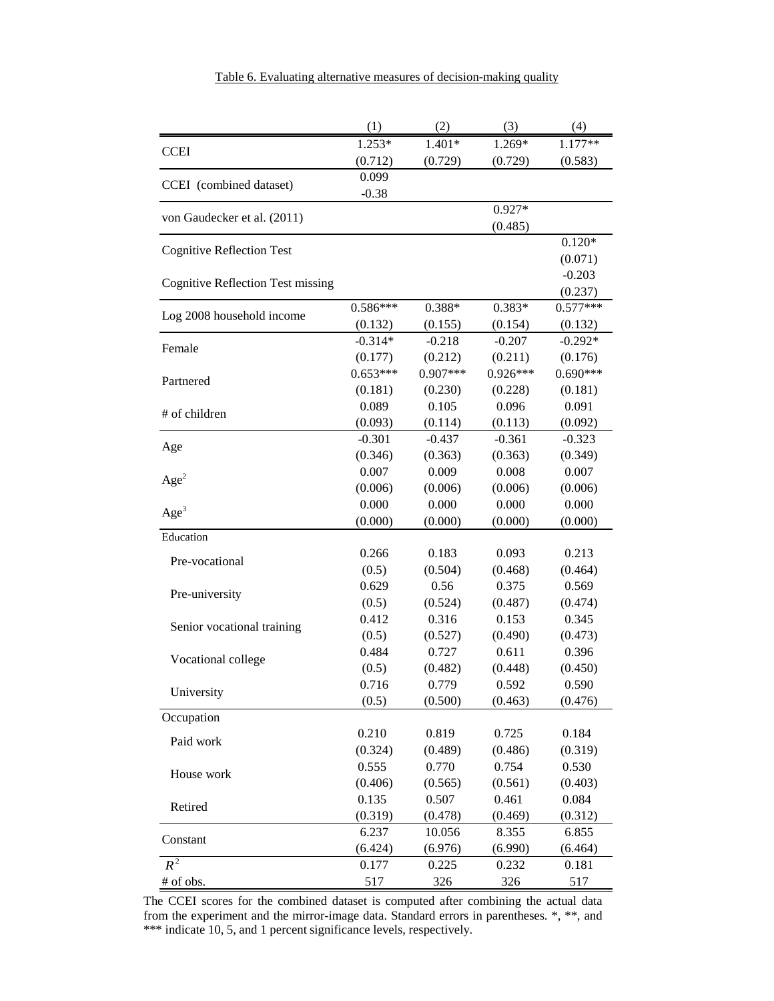|                                          | (1)                  | (2)                 | (3)                 | (4)                  |
|------------------------------------------|----------------------|---------------------|---------------------|----------------------|
| <b>CCEI</b>                              | 1.253*               | 1.401*              | 1.269*              | $1.177**$            |
|                                          | (0.712)              | (0.729)             | (0.729)             | (0.583)              |
| CCEI (combined dataset)                  | 0.099                |                     |                     |                      |
|                                          | $-0.38$              |                     |                     |                      |
| von Gaudecker et al. (2011)              |                      |                     | $0.927*$            |                      |
|                                          |                      |                     | (0.485)             |                      |
| <b>Cognitive Reflection Test</b>         |                      |                     |                     | $0.120*$             |
|                                          |                      |                     |                     | (0.071)              |
| <b>Cognitive Reflection Test missing</b> |                      |                     |                     | $-0.203$             |
|                                          |                      |                     |                     | (0.237)              |
| Log 2008 household income                | $0.586***$           | 0.388*              | $0.383*$            | $0.577***$           |
|                                          | (0.132)<br>$-0.314*$ | (0.155)<br>$-0.218$ | (0.154)<br>$-0.207$ | (0.132)<br>$-0.292*$ |
| Female                                   | (0.177)              | (0.212)             | (0.211)             | (0.176)              |
|                                          | $0.653***$           | 0.907***            | $0.926***$          | $0.690***$           |
| Partnered                                | (0.181)              | (0.230)             | (0.228)             | (0.181)              |
|                                          | 0.089                | 0.105               | 0.096               | 0.091                |
| # of children                            | (0.093)              | (0.114)             | (0.113)             | (0.092)              |
|                                          | $-0.301$             | $-0.437$            | $-0.361$            | $-0.323$             |
| Age                                      | (0.346)              | (0.363)             | (0.363)             | (0.349)              |
|                                          | 0.007                | 0.009               | 0.008               | 0.007                |
| Age <sup>2</sup>                         | (0.006)              | (0.006)             | (0.006)             | (0.006)              |
|                                          | 0.000                | 0.000               | 0.000               | 0.000                |
| Age <sup>3</sup>                         | (0.000)              | (0.000)             | (0.000)             | (0.000)              |
| Education                                |                      |                     |                     |                      |
| Pre-vocational                           | 0.266                | 0.183               | 0.093               | 0.213                |
|                                          | (0.5)                | (0.504)             | (0.468)             | (0.464)              |
| Pre-university                           | 0.629                | 0.56                | 0.375               | 0.569                |
|                                          | (0.5)                | (0.524)             | (0.487)             | (0.474)              |
| Senior vocational training               | 0.412                | 0.316               | 0.153               | 0.345                |
|                                          | (0.5)                | (0.527)             | (0.490)             | (0.473)              |
| Vocational college                       | 0.484                | 0.727               | 0.611               | 0.396                |
|                                          | (0.5)                | (0.482)             | (0.448)             | (0.450)              |
| University                               | 0.716                | 0.779               | 0.592               | 0.590                |
|                                          | (0.5)                | (0.500)             | (0.463)             | (0.476)              |
| Occupation                               |                      |                     |                     |                      |
| Paid work                                | 0.210                | 0.819               | 0.725               | 0.184                |
|                                          | (0.324)<br>0.555     | (0.489)             | (0.486)<br>0.754    | (0.319)              |
| House work                               |                      | 0.770<br>(0.565)    |                     | 0.530                |
|                                          | (0.406)<br>0.135     | 0.507               | (0.561)<br>0.461    | (0.403)<br>0.084     |
| Retired                                  |                      | (0.478)             | (0.469)             |                      |
|                                          | (0.319)<br>6.237     | 10.056              | 8.355               | (0.312)<br>6.855     |
| Constant                                 | (6.424)              | (6.976)             | (6.990)             | (6.464)              |
| $R^2$                                    | 0.177                | 0.225               | 0.232               | 0.181                |
| # of obs.                                | 517                  | 326                 | 326                 | 517                  |

## Table 6. Evaluating alternative measures of decision-making quality

The CCEI scores for the combined dataset is computed after combining the actual data from the experiment and the mirror-image data. Standard errors in parentheses. \*, \*\*, and \*\*\* indicate 10, 5, and 1 percent significance levels, respectively.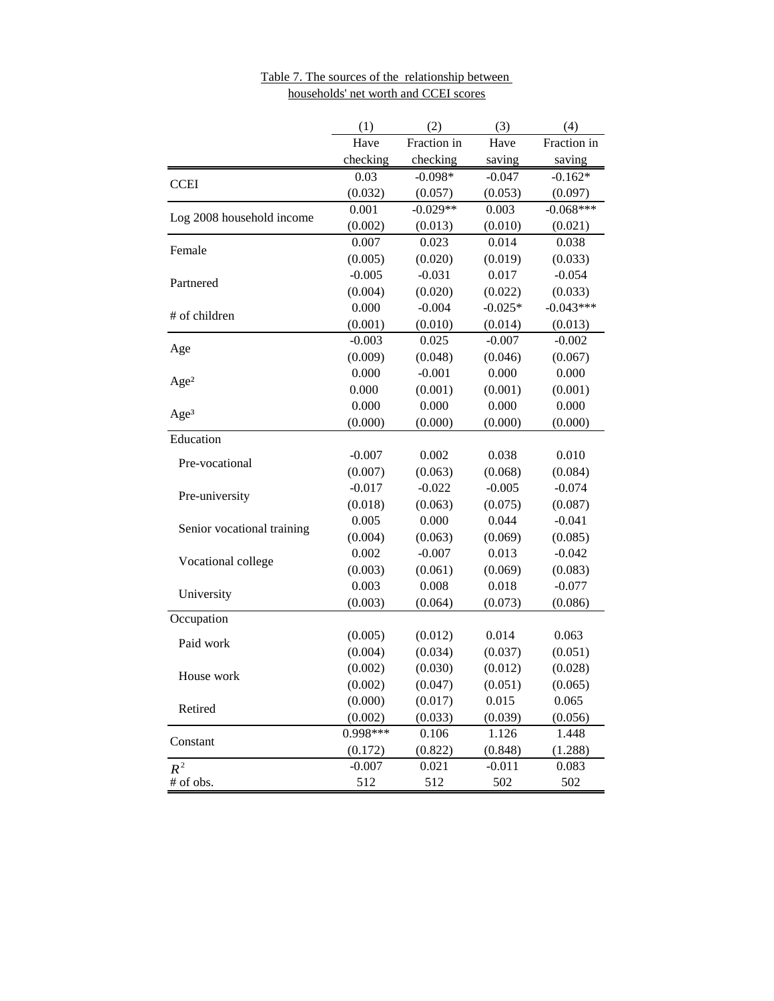|                            | (1)      | (2)         | (3)       | (4)         |
|----------------------------|----------|-------------|-----------|-------------|
|                            | Have     | Fraction in | Have      | Fraction in |
|                            | checking | checking    | saving    | saving      |
|                            | 0.03     | $-0.098*$   | $-0.047$  | $-0.162*$   |
| <b>CCEI</b>                | (0.032)  | (0.057)     | (0.053)   | (0.097)     |
|                            | 0.001    | $-0.029**$  | 0.003     | $-0.068***$ |
| Log 2008 household income  | (0.002)  | (0.013)     | (0.010)   | (0.021)     |
|                            | 0.007    | 0.023       | 0.014     | 0.038       |
| Female                     | (0.005)  | (0.020)     | (0.019)   | (0.033)     |
| Partnered                  | $-0.005$ | $-0.031$    | 0.017     | $-0.054$    |
|                            | (0.004)  | (0.020)     | (0.022)   | (0.033)     |
| # of children              | 0.000    | $-0.004$    | $-0.025*$ | $-0.043***$ |
|                            | (0.001)  | (0.010)     | (0.014)   | (0.013)     |
|                            | $-0.003$ | 0.025       | $-0.007$  | $-0.002$    |
| Age                        | (0.009)  | (0.048)     | (0.046)   | (0.067)     |
| Age <sup>2</sup>           | 0.000    | $-0.001$    | 0.000     | 0.000       |
|                            | 0.000    | (0.001)     | (0.001)   | (0.001)     |
| Age <sup>3</sup>           | 0.000    | 0.000       | 0.000     | 0.000       |
|                            | (0.000)  | (0.000)     | (0.000)   | (0.000)     |
| Education                  |          |             |           |             |
| Pre-vocational             | $-0.007$ | 0.002       | 0.038     | 0.010       |
|                            | (0.007)  | (0.063)     | (0.068)   | (0.084)     |
| Pre-university             | $-0.017$ | $-0.022$    | $-0.005$  | $-0.074$    |
|                            | (0.018)  | (0.063)     | (0.075)   | (0.087)     |
| Senior vocational training | 0.005    | 0.000       | 0.044     | $-0.041$    |
|                            | (0.004)  | (0.063)     | (0.069)   | (0.085)     |
| Vocational college         | 0.002    | $-0.007$    | 0.013     | $-0.042$    |
|                            | (0.003)  | (0.061)     | (0.069)   | (0.083)     |
| University                 | 0.003    | 0.008       | 0.018     | $-0.077$    |
|                            | (0.003)  | (0.064)     | (0.073)   | (0.086)     |
| Occupation                 |          |             |           |             |
| Paid work                  | (0.005)  | (0.012)     | 0.014     | 0.063       |
|                            | (0.004)  | (0.034)     | (0.037)   | (0.051)     |
| House work                 | (0.002)  | (0.030)     | (0.012)   | (0.028)     |
|                            | (0.002)  | (0.047)     | (0.051)   | (0.065)     |
| Retired                    | (0.000)  | (0.017)     | 0.015     | 0.065       |
|                            | (0.002)  | (0.033)     | (0.039)   | (0.056)     |
| Constant                   | 0.998*** | 0.106       | 1.126     | 1.448       |
|                            | (0.172)  | (0.822)     | (0.848)   | (1.288)     |
| $R^2$                      | $-0.007$ | 0.021       | $-0.011$  | 0.083       |
| # of obs.                  | 512      | 512         | 502       | 502         |

## Table 7. The sources of the relationship between households' net worth and CCEI scores